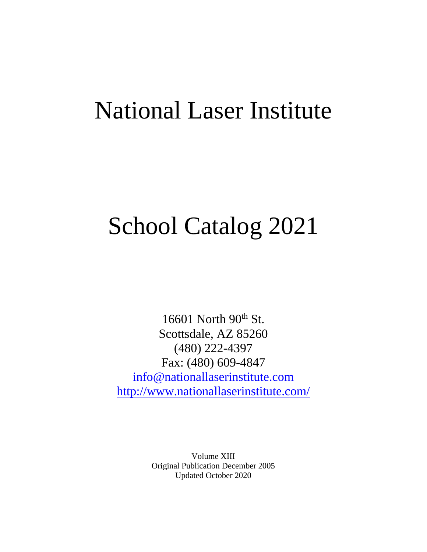# National Laser Institute

# School Catalog 2021

16601 North  $90<sup>th</sup>$  St. Scottsdale, AZ 85260 (480) 222-4397 Fax: (480) 609-4847 [info@nationallaserinstitute.com](mailto:info@nationallaserinstitute.com) <http://www.nationallaserinstitute.com/>

> Volume XIII Original Publication December 2005 Updated October 2020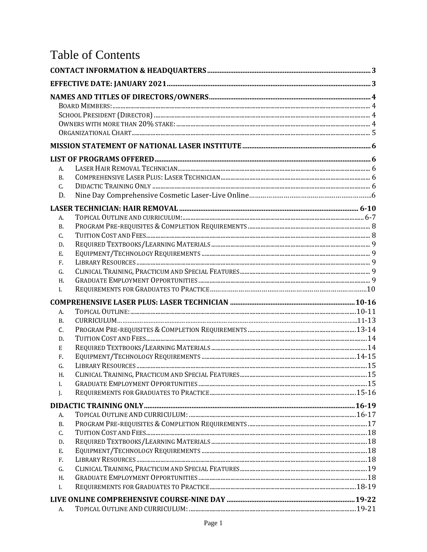# **Table of Contents**

| A.        |  |
|-----------|--|
| <b>B.</b> |  |
| C.        |  |
| D.        |  |
|           |  |
| A.        |  |
| <b>B.</b> |  |
| C.        |  |
| D.        |  |
| Ε.        |  |
| F.        |  |
| G.        |  |
| Η.        |  |
| L         |  |
|           |  |
| А.        |  |
| B.        |  |
| C.        |  |
| D.        |  |
| E         |  |
| F.<br>G.  |  |
| Н.        |  |
| Ι.        |  |
| J.        |  |
|           |  |
| A.        |  |
| В.        |  |
| C.        |  |
| D.        |  |
| Ε.        |  |
| F.        |  |
| G.        |  |
| Η.        |  |
| I.        |  |
|           |  |
|           |  |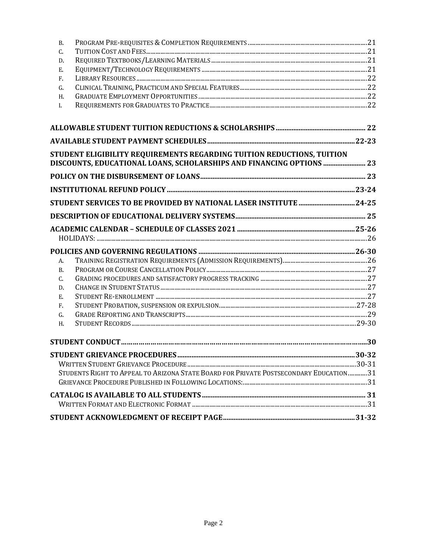| <b>B.</b>     |                                                                                                                                                |  |
|---------------|------------------------------------------------------------------------------------------------------------------------------------------------|--|
| C.            |                                                                                                                                                |  |
| D.            |                                                                                                                                                |  |
| Ε.            |                                                                                                                                                |  |
| F.            |                                                                                                                                                |  |
| G.            |                                                                                                                                                |  |
| H.            |                                                                                                                                                |  |
| $I_{\bullet}$ |                                                                                                                                                |  |
|               |                                                                                                                                                |  |
|               |                                                                                                                                                |  |
|               | STUDENT ELIGIBILITY REQUIREMENTS REGARDING TUITION REDUCTIONS, TUITION<br>DISCOUNTS, EDUCATIONAL LOANS, SCHOLARSHIPS AND FINANCING OPTIONS  23 |  |
|               |                                                                                                                                                |  |
|               |                                                                                                                                                |  |
|               | STUDENT SERVICES TO BE PROVIDED BY NATIONAL LASER INSTITUTE 24-25                                                                              |  |
|               |                                                                                                                                                |  |
|               |                                                                                                                                                |  |
|               |                                                                                                                                                |  |
| A.            |                                                                                                                                                |  |
| <b>B.</b>     |                                                                                                                                                |  |
| C.            |                                                                                                                                                |  |
| D.            |                                                                                                                                                |  |
| Ε.            |                                                                                                                                                |  |
| F.            |                                                                                                                                                |  |
| G.            |                                                                                                                                                |  |
| H.            |                                                                                                                                                |  |
|               |                                                                                                                                                |  |
|               |                                                                                                                                                |  |
|               |                                                                                                                                                |  |
|               | STUDENTS RIGHT TO APPEAL TO ARIZONA STATE BOARD FOR PRIVATE POSTSECONDARY EDUCATION 31                                                         |  |
|               |                                                                                                                                                |  |
|               |                                                                                                                                                |  |
|               |                                                                                                                                                |  |
|               |                                                                                                                                                |  |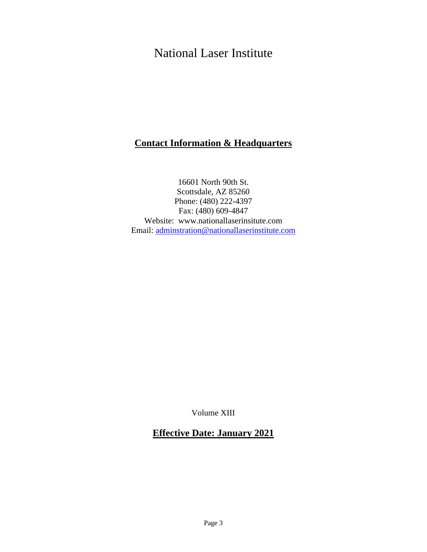# National Laser Institute

# **Contact Information & Headquarters**

16601 North 90th St. Scottsdale, AZ 85260 Phone: (480) 222-4397 Fax: (480) 609-4847 Website: [www.nationallaserinsitute.com](http://www.nationallaserinsitute.com/) Email: [adminstration@nationallaserinstitute.com](mailto:adminstration@nationallaserinstitute.com)

Volume XIII

# **Effective Date: January 2021**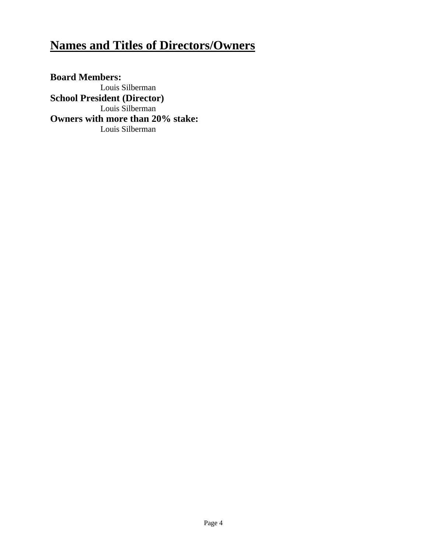# **Names and Titles of Directors/Owners**

**Board Members:** Louis Silberman **School President (Director)** Louis Silberman **Owners with more than 20% stake:** Louis Silberman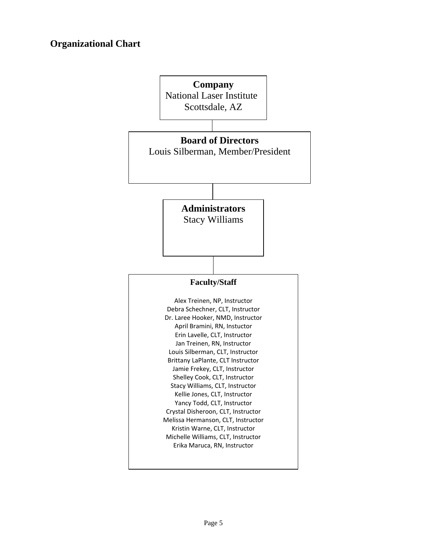# **Organizational Chart**

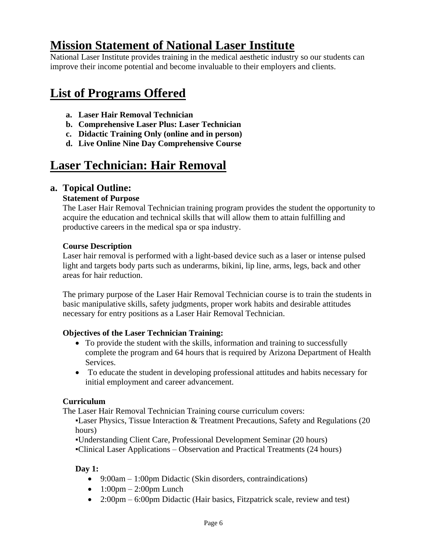# **Mission Statement of National Laser Institute**

National Laser Institute provides training in the medical aesthetic industry so our students can improve their income potential and become invaluable to their employers and clients.

# **List of Programs Offered**

- **a. Laser Hair Removal Technician**
- **b. Comprehensive Laser Plus: Laser Technician**
- **c. Didactic Training Only (online and in person)**
- **d. Live Online Nine Day Comprehensive Course**

# **Laser Technician: Hair Removal**

# **a. Topical Outline:**

#### **Statement of Purpose**

The Laser Hair Removal Technician training program provides the student the opportunity to acquire the education and technical skills that will allow them to attain fulfilling and productive careers in the medical spa or spa industry.

#### **Course Description**

Laser hair removal is performed with a light-based device such as a laser or intense pulsed light and targets body parts such as underarms, bikini, lip line, arms, legs, back and other areas for hair reduction.

The primary purpose of the Laser Hair Removal Technician course is to train the students in basic manipulative skills, safety judgments, proper work habits and desirable attitudes necessary for entry positions as a Laser Hair Removal Technician.

#### **Objectives of the Laser Technician Training:**

- To provide the student with the skills, information and training to successfully complete the program and 64 hours that is required by Arizona Department of Health Services.
- To educate the student in developing professional attitudes and habits necessary for initial employment and career advancement.

#### **Curriculum**

The Laser Hair Removal Technician Training course curriculum covers:

**-Laser Physics, Tissue Interaction & Treatment Precautions, Safety and Regulations (20)** hours)

▪Understanding Client Care, Professional Development Seminar (20 hours)

▪Clinical Laser Applications – Observation and Practical Treatments (24 hours)

# **Day 1:**

- 9:00am 1:00pm Didactic (Skin disorders, contraindications)
- $\bullet$  1:00pm 2:00pm Lunch
- 2:00pm 6:00pm Didactic (Hair basics, Fitzpatrick scale, review and test)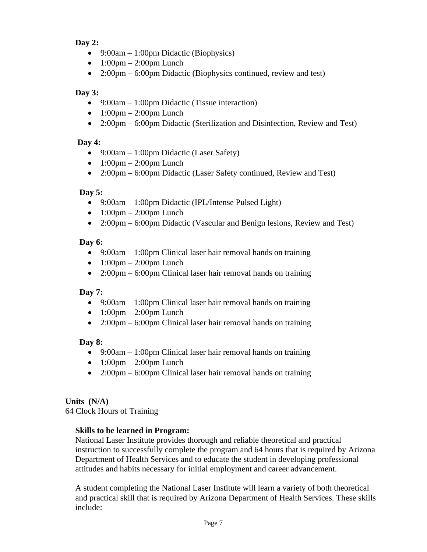# **Day 2:**

- 9:00am 1:00pm Didactic (Biophysics)
- $\bullet$  1:00pm 2:00pm Lunch
- 2:00pm 6:00pm Didactic (Biophysics continued, review and test)

### **Day 3:**

- 9:00am 1:00pm Didactic (Tissue interaction)
- $\bullet$  1:00pm 2:00pm Lunch
- 2:00pm 6:00pm Didactic (Sterilization and Disinfection, Review and Test)

### **Day 4:**

- 9:00am 1:00pm Didactic (Laser Safety)
- $\bullet$  1:00pm 2:00pm Lunch
- 2:00pm 6:00pm Didactic (Laser Safety continued, Review and Test)

# **Day 5:**

- 9:00am 1:00pm Didactic (IPL/Intense Pulsed Light)
- $\bullet$  1:00pm 2:00pm Lunch
- 2:00pm 6:00pm Didactic (Vascular and Benign lesions, Review and Test)

# **Day 6:**

- 9:00am 1:00pm Clinical laser hair removal hands on training
- $\bullet$  1:00pm 2:00pm Lunch
- 2:00pm 6:00pm Clinical laser hair removal hands on training

# **Day 7:**

- 9:00am 1:00pm Clinical laser hair removal hands on training
- $\bullet$  1:00pm 2:00pm Lunch
- 2:00pm 6:00pm Clinical laser hair removal hands on training

# **Day 8:**

- 9:00am 1:00pm Clinical laser hair removal hands on training
- $1:00 \text{pm} 2:00 \text{pm}$  Lunch
- 2:00pm 6:00pm Clinical laser hair removal hands on training

# **Units (N/A)**

64 Clock Hours of Training

# **Skills to be learned in Program:**

National Laser Institute provides thorough and reliable theoretical and practical instruction to successfully complete the program and 64 hours that is required by Arizona Department of Health Services and to educate the student in developing professional attitudes and habits necessary for initial employment and career advancement.

A student completing the National Laser Institute will learn a variety of both theoretical and practical skill that is required by Arizona Department of Health Services. These skills include: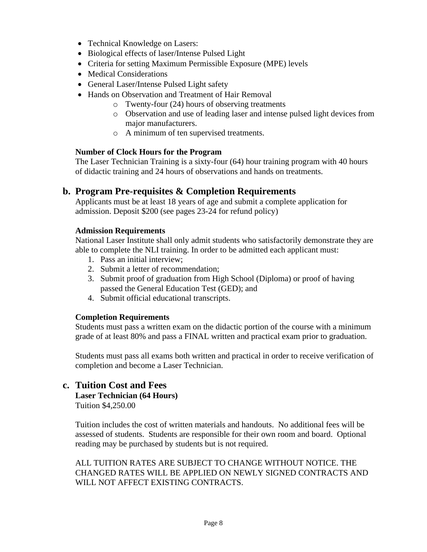- Technical Knowledge on Lasers:
- Biological effects of laser/Intense Pulsed Light
- Criteria for setting Maximum Permissible Exposure (MPE) levels
- Medical Considerations
- General Laser/Intense Pulsed Light safety
- Hands on Observation and Treatment of Hair Removal
	- o Twenty-four (24) hours of observing treatments
	- o Observation and use of leading laser and intense pulsed light devices from major manufacturers.
	- o A minimum of ten supervised treatments.

#### **Number of Clock Hours for the Program**

The Laser Technician Training is a sixty-four (64) hour training program with 40 hours of didactic training and 24 hours of observations and hands on treatments.

#### **b. Program Pre-requisites & Completion Requirements**

Applicants must be at least 18 years of age and submit a complete application for admission. Deposit \$200 (see pages 23-24 for refund policy)

#### **Admission Requirements**

National Laser Institute shall only admit students who satisfactorily demonstrate they are able to complete the NLI training. In order to be admitted each applicant must:

- 1. Pass an initial interview;
- 2. Submit a letter of recommendation;
- 3. Submit proof of graduation from High School (Diploma) or proof of having passed the General Education Test (GED); and
- 4. Submit official educational transcripts.

#### **Completion Requirements**

Students must pass a written exam on the didactic portion of the course with a minimum grade of at least 80% and pass a FINAL written and practical exam prior to graduation.

Students must pass all exams both written and practical in order to receive verification of completion and become a Laser Technician.

#### **c. Tuition Cost and Fees**

#### **Laser Technician (64 Hours)**

Tuition \$4,250.00

Tuition includes the cost of written materials and handouts. No additional fees will be assessed of students. Students are responsible for their own room and board. Optional reading may be purchased by students but is not required.

ALL TUITION RATES ARE SUBJECT TO CHANGE WITHOUT NOTICE. THE CHANGED RATES WILL BE APPLIED ON NEWLY SIGNED CONTRACTS AND WILL NOT AFFECT EXISTING CONTRACTS.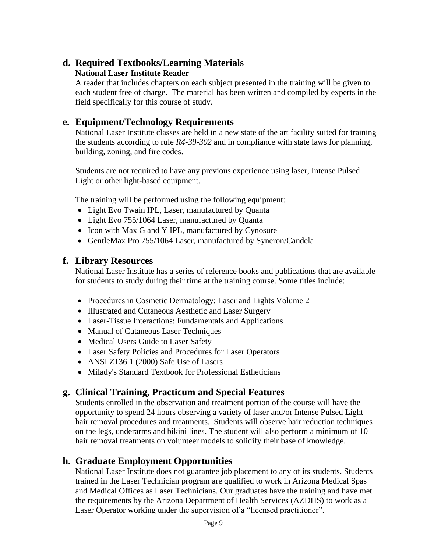# **d. Required Textbooks/Learning Materials National Laser Institute Reader**

A reader that includes chapters on each subject presented in the training will be given to each student free of charge. The material has been written and compiled by experts in the field specifically for this course of study.

# **e. Equipment/Technology Requirements**

National Laser Institute classes are held in a new state of the art facility suited for training the students according to rule *R4-39-302* and in compliance with state laws for planning, building, zoning, and fire codes.

Students are not required to have any previous experience using laser, Intense Pulsed Light or other light-based equipment.

The training will be performed using the following equipment:

- Light Evo Twain IPL, Laser, manufactured by Quanta
- Light Evo 755/1064 Laser, manufactured by Quanta
- Icon with Max G and Y IPL, manufactured by Cynosure
- GentleMax Pro 755/1064 Laser, manufactured by Syneron/Candela

# **f. Library Resources**

National Laser Institute has a series of reference books and publications that are available for students to study during their time at the training course. Some titles include:

- Procedures in Cosmetic Dermatology: Laser and Lights Volume 2
- Illustrated and Cutaneous Aesthetic and Laser Surgery
- Laser-Tissue Interactions: Fundamentals and Applications
- Manual of Cutaneous Laser Techniques
- Medical Users Guide to Laser Safety
- Laser Safety Policies and Procedures for Laser Operators
- ANSI Z136.1 (2000) Safe Use of Lasers
- Milady's Standard Textbook for Professional Estheticians

# **g. Clinical Training, Practicum and Special Features**

Students enrolled in the observation and treatment portion of the course will have the opportunity to spend 24 hours observing a variety of laser and/or Intense Pulsed Light hair removal procedures and treatments. Students will observe hair reduction techniques on the legs, underarms and bikini lines. The student will also perform a minimum of 10 hair removal treatments on volunteer models to solidify their base of knowledge.

# **h. Graduate Employment Opportunities**

National Laser Institute does not guarantee job placement to any of its students. Students trained in the Laser Technician program are qualified to work in Arizona Medical Spas and Medical Offices as Laser Technicians. Our graduates have the training and have met the requirements by the Arizona Department of Health Services (AZDHS) to work as a Laser Operator working under the supervision of a "licensed practitioner".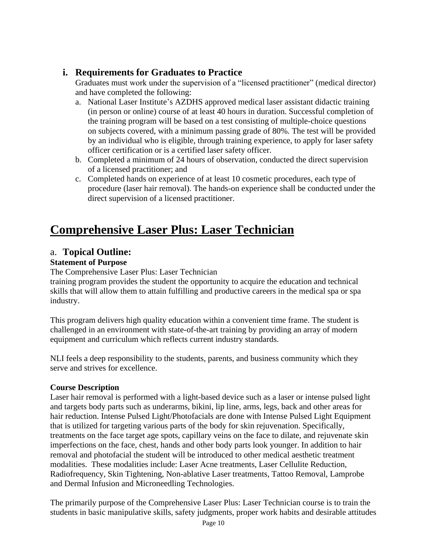# **i. Requirements for Graduates to Practice**

Graduates must work under the supervision of a "licensed practitioner" (medical director) and have completed the following:

- a. National Laser Institute's AZDHS approved medical laser assistant didactic training (in person or online) course of at least 40 hours in duration. Successful completion of the training program will be based on a test consisting of multiple-choice questions on subjects covered, with a minimum passing grade of 80%. The test will be provided by an individual who is eligible, through training experience, to apply for laser safety officer certification or is a certified laser safety officer.
- b. Completed a minimum of 24 hours of observation, conducted the direct supervision of a licensed practitioner; and
- c. Completed hands on experience of at least 10 cosmetic procedures, each type of procedure (laser hair removal). The hands-on experience shall be conducted under the direct supervision of a licensed practitioner.

# **Comprehensive Laser Plus: Laser Technician**

# a. **Topical Outline:**

# **Statement of Purpose**

The Comprehensive Laser Plus: Laser Technician

training program provides the student the opportunity to acquire the education and technical skills that will allow them to attain fulfilling and productive careers in the medical spa or spa industry.

This program delivers high quality education within a convenient time frame. The student is challenged in an environment with state-of-the-art training by providing an array of modern equipment and curriculum which reflects current industry standards.

NLI feels a deep responsibility to the students, parents, and business community which they serve and strives for excellence.

# **Course Description**

Laser hair removal is performed with a light-based device such as a laser or intense pulsed light and targets body parts such as underarms, bikini, lip line, arms, legs, back and other areas for hair reduction. Intense Pulsed Light/Photofacials are done with Intense Pulsed Light Equipment that is utilized for targeting various parts of the body for skin rejuvenation. Specifically, treatments on the face target age spots, capillary veins on the face to dilate, and rejuvenate skin imperfections on the face, chest, hands and other body parts look younger. In addition to hair removal and photofacial the student will be introduced to other medical aesthetic treatment modalities. These modalities include: Laser Acne treatments, Laser Cellulite Reduction, Radiofrequency, Skin Tightening, Non-ablative Laser treatments, Tattoo Removal, Lamprobe and Dermal Infusion and Microneedling Technologies.

The primarily purpose of the Comprehensive Laser Plus: Laser Technician course is to train the students in basic manipulative skills, safety judgments, proper work habits and desirable attitudes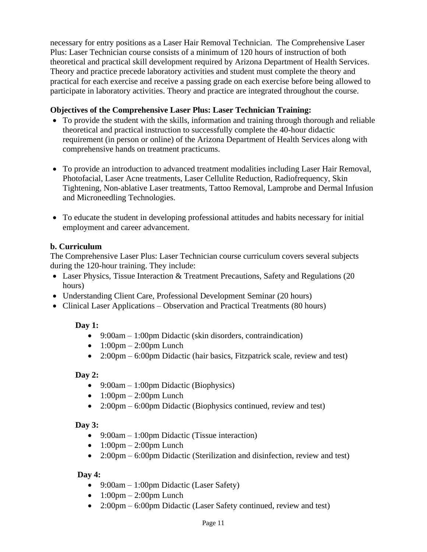necessary for entry positions as a Laser Hair Removal Technician. The Comprehensive Laser Plus: Laser Technician course consists of a minimum of 120 hours of instruction of both theoretical and practical skill development required by Arizona Department of Health Services. Theory and practice precede laboratory activities and student must complete the theory and practical for each exercise and receive a passing grade on each exercise before being allowed to participate in laboratory activities. Theory and practice are integrated throughout the course.

#### **Objectives of the Comprehensive Laser Plus: Laser Technician Training:**

- To provide the student with the skills, information and training through thorough and reliable theoretical and practical instruction to successfully complete the 40-hour didactic requirement (in person or online) of the Arizona Department of Health Services along with comprehensive hands on treatment practicums.
- To provide an introduction to advanced treatment modalities including Laser Hair Removal, Photofacial, Laser Acne treatments, Laser Cellulite Reduction, Radiofrequency, Skin Tightening, Non-ablative Laser treatments, Tattoo Removal, Lamprobe and Dermal Infusion and Microneedling Technologies.
- To educate the student in developing professional attitudes and habits necessary for initial employment and career advancement.

#### **b. Curriculum**

The Comprehensive Laser Plus: Laser Technician course curriculum covers several subjects during the 120-hour training. They include:

- Laser Physics, Tissue Interaction & Treatment Precautions, Safety and Regulations (20) hours)
- Understanding Client Care, Professional Development Seminar (20 hours)
- Clinical Laser Applications Observation and Practical Treatments (80 hours)

# **Day 1:**

- 9:00am 1:00pm Didactic (skin disorders, contraindication)
- $1:00 \text{pm} 2:00 \text{pm}$  Lunch
- 2:00pm 6:00pm Didactic (hair basics, Fitzpatrick scale, review and test)

#### **Day 2:**

- 9:00am 1:00pm Didactic (Biophysics)
- $\bullet$  1:00pm 2:00pm Lunch
- 2:00pm 6:00pm Didactic (Biophysics continued, review and test)

# **Day 3:**

- 9:00am 1:00pm Didactic (Tissue interaction)
- $\bullet$  1:00pm 2:00pm Lunch
- 2:00pm 6:00pm Didactic (Sterilization and disinfection, review and test)

#### **Day 4:**

- 9:00am 1:00pm Didactic (Laser Safety)
- $1:00 \text{pm} 2:00 \text{pm}$  Lunch
- 2:00pm 6:00pm Didactic (Laser Safety continued, review and test)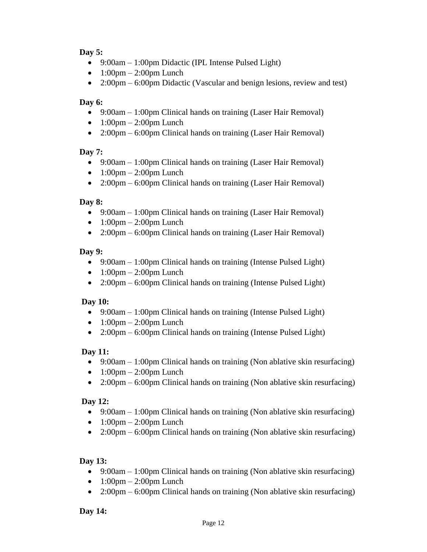#### **Day 5:**

- 9:00am 1:00pm Didactic (IPL Intense Pulsed Light)
- $\bullet$  1:00pm 2:00pm Lunch
- 2:00pm 6:00pm Didactic (Vascular and benign lesions, review and test)

#### **Day 6:**

- 9:00am 1:00pm Clinical hands on training (Laser Hair Removal)
- $\bullet$  1:00pm 2:00pm Lunch
- 2:00pm 6:00pm Clinical hands on training (Laser Hair Removal)

#### **Day 7:**

- 9:00am 1:00pm Clinical hands on training (Laser Hair Removal)
- $\bullet$  1:00pm 2:00pm Lunch
- 2:00pm 6:00pm Clinical hands on training (Laser Hair Removal)

#### **Day 8:**

- 9:00am 1:00pm Clinical hands on training (Laser Hair Removal)
- $\bullet$  1:00pm 2:00pm Lunch
- 2:00pm 6:00pm Clinical hands on training (Laser Hair Removal)

#### **Day 9:**

- 9:00am 1:00pm Clinical hands on training (Intense Pulsed Light)
- $\bullet$  1:00pm 2:00pm Lunch
- 2:00pm 6:00pm Clinical hands on training (Intense Pulsed Light)

# **Day 10:**

- 9:00am 1:00pm Clinical hands on training (Intense Pulsed Light)
- $\bullet$  1:00pm 2:00pm Lunch
- 2:00pm 6:00pm Clinical hands on training (Intense Pulsed Light)

#### **Day 11:**

- 9:00am 1:00pm Clinical hands on training (Non ablative skin resurfacing)
- $\bullet$  1:00pm 2:00pm Lunch
- 2:00pm 6:00pm Clinical hands on training (Non ablative skin resurfacing)

#### **Day 12:**

- 9:00am 1:00pm Clinical hands on training (Non ablative skin resurfacing)
- $\bullet$  1:00pm 2:00pm Lunch
- 2:00pm 6:00pm Clinical hands on training (Non ablative skin resurfacing)

#### **Day 13:**

- 9:00am 1:00pm Clinical hands on training (Non ablative skin resurfacing)
- $\bullet$  1:00pm 2:00pm Lunch
- 2:00pm 6:00pm Clinical hands on training (Non ablative skin resurfacing)

#### **Day 14:**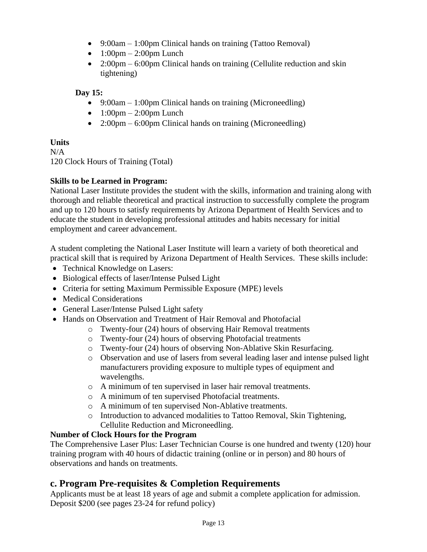- 9:00am 1:00pm Clinical hands on training (Tattoo Removal)
- $\bullet$  1:00pm 2:00pm Lunch
- 2:00pm 6:00pm Clinical hands on training (Cellulite reduction and skin tightening)

#### **Day 15:**

- 9:00am 1:00pm Clinical hands on training (Microneedling)
- $\bullet$  1:00pm 2:00pm Lunch
- 2:00pm 6:00pm Clinical hands on training (Microneedling)

#### **Units**

N/A 120 Clock Hours of Training (Total)

#### **Skills to be Learned in Program:**

National Laser Institute provides the student with the skills, information and training along with thorough and reliable theoretical and practical instruction to successfully complete the program and up to 120 hours to satisfy requirements by Arizona Department of Health Services and to educate the student in developing professional attitudes and habits necessary for initial employment and career advancement.

A student completing the National Laser Institute will learn a variety of both theoretical and practical skill that is required by Arizona Department of Health Services. These skills include:

- Technical Knowledge on Lasers:
- Biological effects of laser/Intense Pulsed Light
- Criteria for setting Maximum Permissible Exposure (MPE) levels
- Medical Considerations
- General Laser/Intense Pulsed Light safety
- Hands on Observation and Treatment of Hair Removal and Photofacial
	- o Twenty-four (24) hours of observing Hair Removal treatments
		- o Twenty-four (24) hours of observing Photofacial treatments
		- o Twenty-four (24) hours of observing Non-Ablative Skin Resurfacing.
		- o Observation and use of lasers from several leading laser and intense pulsed light manufacturers providing exposure to multiple types of equipment and wavelengths.
		- o A minimum of ten supervised in laser hair removal treatments.
		- o A minimum of ten supervised Photofacial treatments.
		- o A minimum of ten supervised Non-Ablative treatments.
		- o Introduction to advanced modalities to Tattoo Removal, Skin Tightening, Cellulite Reduction and Microneedling.

# **Number of Clock Hours for the Program**

The Comprehensive Laser Plus: Laser Technician Course is one hundred and twenty (120) hour training program with 40 hours of didactic training (online or in person) and 80 hours of observations and hands on treatments.

# **c. Program Pre-requisites & Completion Requirements**

Applicants must be at least 18 years of age and submit a complete application for admission. Deposit \$200 (see pages 23-24 for refund policy)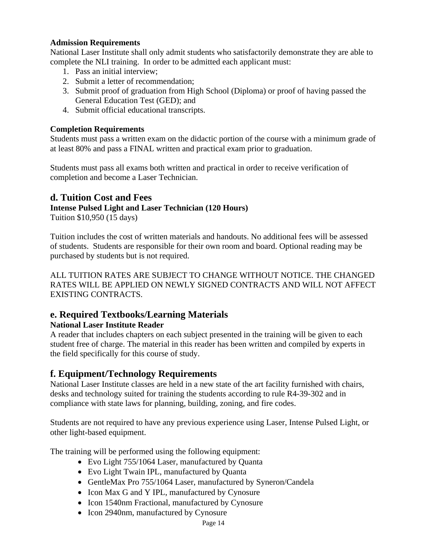#### **Admission Requirements**

National Laser Institute shall only admit students who satisfactorily demonstrate they are able to complete the NLI training. In order to be admitted each applicant must:

- 1. Pass an initial interview;
- 2. Submit a letter of recommendation;
- 3. Submit proof of graduation from High School (Diploma) or proof of having passed the General Education Test (GED); and
- 4. Submit official educational transcripts.

#### **Completion Requirements**

Students must pass a written exam on the didactic portion of the course with a minimum grade of at least 80% and pass a FINAL written and practical exam prior to graduation.

Students must pass all exams both written and practical in order to receive verification of completion and become a Laser Technician.

# **d. Tuition Cost and Fees**

#### **Intense Pulsed Light and Laser Technician (120 Hours)**

Tuition \$10,950 (15 days)

Tuition includes the cost of written materials and handouts. No additional fees will be assessed of students. Students are responsible for their own room and board. Optional reading may be purchased by students but is not required.

ALL TUITION RATES ARE SUBJECT TO CHANGE WITHOUT NOTICE. THE CHANGED RATES WILL BE APPLIED ON NEWLY SIGNED CONTRACTS AND WILL NOT AFFECT EXISTING CONTRACTS.

# **e. Required Textbooks/Learning Materials**

#### **National Laser Institute Reader**

A reader that includes chapters on each subject presented in the training will be given to each student free of charge. The material in this reader has been written and compiled by experts in the field specifically for this course of study.

# **f. Equipment/Technology Requirements**

National Laser Institute classes are held in a new state of the art facility furnished with chairs, desks and technology suited for training the students according to rule R4-39-302 and in compliance with state laws for planning, building, zoning, and fire codes.

Students are not required to have any previous experience using Laser, Intense Pulsed Light, or other light-based equipment.

The training will be performed using the following equipment:

- Evo Light 755/1064 Laser, manufactured by Ouanta
- Evo Light Twain IPL, manufactured by Quanta
- GentleMax Pro 755/1064 Laser, manufactured by Syneron/Candela
- Icon Max G and Y IPL, manufactured by Cynosure
- Icon 1540nm Fractional, manufactured by Cynosure
- Icon 2940nm, manufactured by Cynosure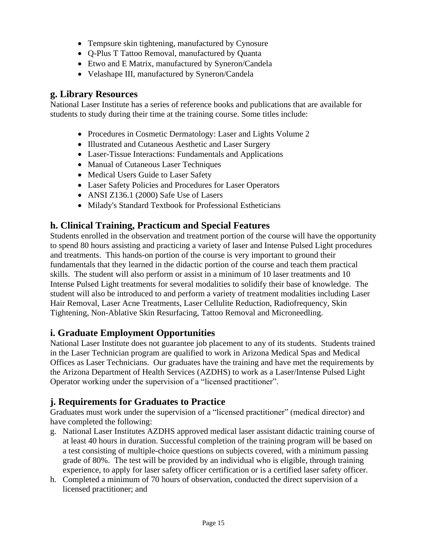- Tempsure skin tightening, manufactured by Cynosure
- Q-Plus T Tattoo Removal, manufactured by Quanta
- Etwo and E Matrix, manufactured by Syneron/Candela
- Velashape III, manufactured by Syneron/Candela

# **g. Library Resources**

National Laser Institute has a series of reference books and publications that are available for students to study during their time at the training course. Some titles include:

- Procedures in Cosmetic Dermatology: Laser and Lights Volume 2
- Illustrated and Cutaneous Aesthetic and Laser Surgery
- Laser-Tissue Interactions: Fundamentals and Applications
- Manual of Cutaneous Laser Techniques
- Medical Users Guide to Laser Safety
- Laser Safety Policies and Procedures for Laser Operators
- ANSI Z136.1 (2000) Safe Use of Lasers
- Milady's Standard Textbook for Professional Estheticians

# **h. Clinical Training, Practicum and Special Features**

Students enrolled in the observation and treatment portion of the course will have the opportunity to spend 80 hours assisting and practicing a variety of laser and Intense Pulsed Light procedures and treatments. This hands-on portion of the course is very important to ground their fundamentals that they learned in the didactic portion of the course and teach them practical skills. The student will also perform or assist in a minimum of 10 laser treatments and 10 Intense Pulsed Light treatments for several modalities to solidify their base of knowledge. The student will also be introduced to and perform a variety of treatment modalities including Laser Hair Removal, Laser Acne Treatments, Laser Cellulite Reduction, Radiofrequency, Skin Tightening, Non-Ablative Skin Resurfacing, Tattoo Removal and Microneedling.

# **i. Graduate Employment Opportunities**

National Laser Institute does not guarantee job placement to any of its students. Students trained in the Laser Technician program are qualified to work in Arizona Medical Spas and Medical Offices as Laser Technicians. Our graduates have the training and have met the requirements by the Arizona Department of Health Services (AZDHS) to work as a Laser/Intense Pulsed Light Operator working under the supervision of a "licensed practitioner".

# **j. Requirements for Graduates to Practice**

Graduates must work under the supervision of a "licensed practitioner" (medical director) and have completed the following:

- g. National Laser Institutes AZDHS approved medical laser assistant didactic training course of at least 40 hours in duration. Successful completion of the training program will be based on a test consisting of multiple-choice questions on subjects covered, with a minimum passing grade of 80%. The test will be provided by an individual who is eligible, through training experience, to apply for laser safety officer certification or is a certified laser safety officer.
- h. Completed a minimum of 70 hours of observation, conducted the direct supervision of a licensed practitioner; and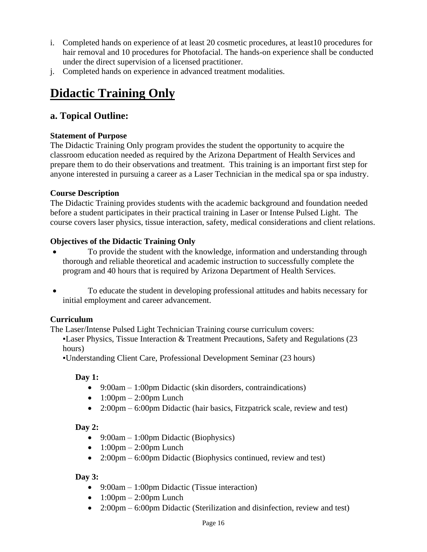- i. Completed hands on experience of at least 20 cosmetic procedures, at least10 procedures for hair removal and 10 procedures for Photofacial. The hands-on experience shall be conducted under the direct supervision of a licensed practitioner.
- j. Completed hands on experience in advanced treatment modalities.

# **Didactic Training Only**

# **a. Topical Outline:**

# **Statement of Purpose**

The Didactic Training Only program provides the student the opportunity to acquire the classroom education needed as required by the Arizona Department of Health Services and prepare them to do their observations and treatment. This training is an important first step for anyone interested in pursuing a career as a Laser Technician in the medical spa or spa industry.

# **Course Description**

The Didactic Training provides students with the academic background and foundation needed before a student participates in their practical training in Laser or Intense Pulsed Light. The course covers laser physics, tissue interaction, safety, medical considerations and client relations.

# **Objectives of the Didactic Training Only**

- To provide the student with the knowledge, information and understanding through thorough and reliable theoretical and academic instruction to successfully complete the program and 40 hours that is required by Arizona Department of Health Services.
- To educate the student in developing professional attitudes and habits necessary for initial employment and career advancement.

# **Curriculum**

The Laser/Intense Pulsed Light Technician Training course curriculum covers:

**Example 1.5** Laser Physics, Tissue Interaction & Treatment Precautions, Safety and Regulations (23 hours)

▪Understanding Client Care, Professional Development Seminar (23 hours)

# **Day 1:**

- 9:00am 1:00pm Didactic (skin disorders, contraindications)
- $1:00 \text{pm} 2:00 \text{pm}$  Lunch
- 2:00pm 6:00pm Didactic (hair basics, Fitzpatrick scale, review and test)

# **Day 2:**

- 9:00am 1:00pm Didactic (Biophysics)
- $\bullet$  1:00pm 2:00pm Lunch
- 2:00pm 6:00pm Didactic (Biophysics continued, review and test)

# **Day 3:**

- 9:00am 1:00pm Didactic (Tissue interaction)
- $1:00 \text{pm} 2:00 \text{pm}$  Lunch
- 2:00pm 6:00pm Didactic (Sterilization and disinfection, review and test)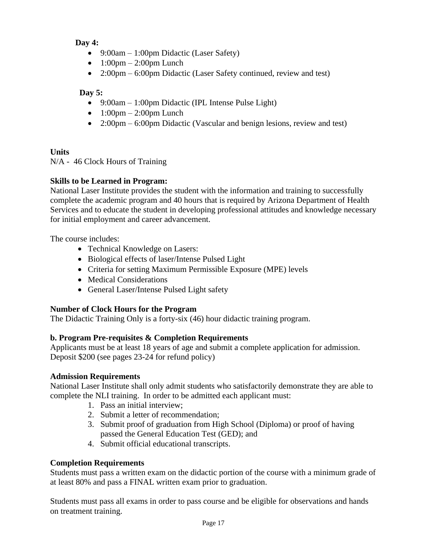# **Day 4:**

- 9:00am 1:00pm Didactic (Laser Safety)
- $\bullet$  1:00pm 2:00pm Lunch
- 2:00pm 6:00pm Didactic (Laser Safety continued, review and test)

# **Day 5:**

- 9:00am 1:00pm Didactic (IPL Intense Pulse Light)
- $\bullet$  1:00pm 2:00pm Lunch
- 2:00pm 6:00pm Didactic (Vascular and benign lesions, review and test)

# **Units**

N/A - 46 Clock Hours of Training

# **Skills to be Learned in Program:**

National Laser Institute provides the student with the information and training to successfully complete the academic program and 40 hours that is required by Arizona Department of Health Services and to educate the student in developing professional attitudes and knowledge necessary for initial employment and career advancement.

The course includes:

- Technical Knowledge on Lasers:
- Biological effects of laser/Intense Pulsed Light
- Criteria for setting Maximum Permissible Exposure (MPE) levels
- Medical Considerations
- General Laser/Intense Pulsed Light safety

# **Number of Clock Hours for the Program**

The Didactic Training Only is a forty-six (46) hour didactic training program.

# **b. Program Pre-requisites & Completion Requirements**

Applicants must be at least 18 years of age and submit a complete application for admission. Deposit \$200 (see pages 23-24 for refund policy)

# **Admission Requirements**

National Laser Institute shall only admit students who satisfactorily demonstrate they are able to complete the NLI training. In order to be admitted each applicant must:

- 1. Pass an initial interview;
- 2. Submit a letter of recommendation;
- 3. Submit proof of graduation from High School (Diploma) or proof of having passed the General Education Test (GED); and
- 4. Submit official educational transcripts.

# **Completion Requirements**

Students must pass a written exam on the didactic portion of the course with a minimum grade of at least 80% and pass a FINAL written exam prior to graduation.

Students must pass all exams in order to pass course and be eligible for observations and hands on treatment training.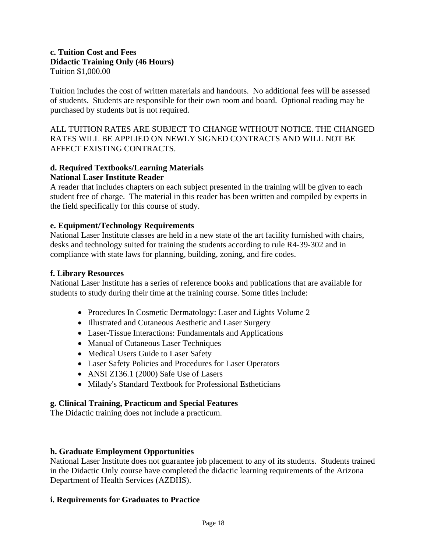#### **c. Tuition Cost and Fees Didactic Training Only (46 Hours)** Tuition \$1,000.00

Tuition includes the cost of written materials and handouts. No additional fees will be assessed of students. Students are responsible for their own room and board. Optional reading may be purchased by students but is not required.

ALL TUITION RATES ARE SUBJECT TO CHANGE WITHOUT NOTICE. THE CHANGED RATES WILL BE APPLIED ON NEWLY SIGNED CONTRACTS AND WILL NOT BE AFFECT EXISTING CONTRACTS.

#### **d. Required Textbooks/Learning Materials National Laser Institute Reader**

A reader that includes chapters on each subject presented in the training will be given to each student free of charge. The material in this reader has been written and compiled by experts in the field specifically for this course of study.

#### **e. Equipment/Technology Requirements**

National Laser Institute classes are held in a new state of the art facility furnished with chairs, desks and technology suited for training the students according to rule R4-39-302 and in compliance with state laws for planning, building, zoning, and fire codes.

#### **f. Library Resources**

National Laser Institute has a series of reference books and publications that are available for students to study during their time at the training course. Some titles include:

- Procedures In Cosmetic Dermatology: Laser and Lights Volume 2
- Illustrated and Cutaneous Aesthetic and Laser Surgery
- Laser-Tissue Interactions: Fundamentals and Applications
- Manual of Cutaneous Laser Techniques
- Medical Users Guide to Laser Safety
- Laser Safety Policies and Procedures for Laser Operators
- ANSI Z136.1 (2000) Safe Use of Lasers
- Milady's Standard Textbook for Professional Estheticians

#### **g. Clinical Training, Practicum and Special Features**

The Didactic training does not include a practicum.

#### **h. Graduate Employment Opportunities**

National Laser Institute does not guarantee job placement to any of its students. Students trained in the Didactic Only course have completed the didactic learning requirements of the Arizona Department of Health Services (AZDHS).

#### **i. Requirements for Graduates to Practice**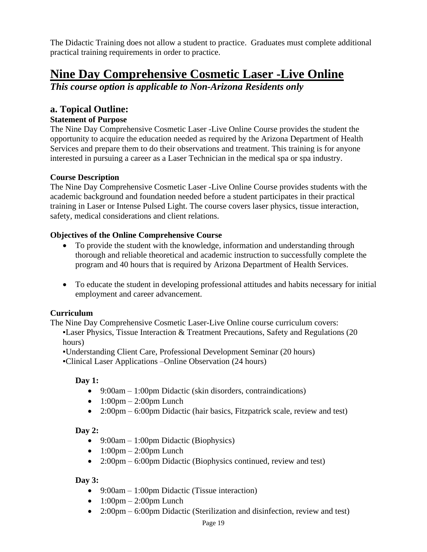The Didactic Training does not allow a student to practice. Graduates must complete additional practical training requirements in order to practice.

# **Nine Day Comprehensive Cosmetic Laser -Live Online**

*This course option is applicable to Non-Arizona Residents only*

# **a. Topical Outline:**

# **Statement of Purpose**

The Nine Day Comprehensive Cosmetic Laser -Live Online Course provides the student the opportunity to acquire the education needed as required by the Arizona Department of Health Services and prepare them to do their observations and treatment. This training is for anyone interested in pursuing a career as a Laser Technician in the medical spa or spa industry.

#### **Course Description**

The Nine Day Comprehensive Cosmetic Laser -Live Online Course provides students with the academic background and foundation needed before a student participates in their practical training in Laser or Intense Pulsed Light. The course covers laser physics, tissue interaction, safety, medical considerations and client relations.

#### **Objectives of the Online Comprehensive Course**

- To provide the student with the knowledge, information and understanding through thorough and reliable theoretical and academic instruction to successfully complete the program and 40 hours that is required by Arizona Department of Health Services.
- To educate the student in developing professional attitudes and habits necessary for initial employment and career advancement.

#### **Curriculum**

The Nine Day Comprehensive Cosmetic Laser-Live Online course curriculum covers:

▪Laser Physics, Tissue Interaction & Treatment Precautions, Safety and Regulations (20 hours)

▪Understanding Client Care, Professional Development Seminar (20 hours)

▪Clinical Laser Applications –Online Observation (24 hours)

# **Day 1:**

- 9:00am 1:00pm Didactic (skin disorders, contraindications)
- $\bullet$  1:00pm 2:00pm Lunch
- 2:00pm 6:00pm Didactic (hair basics, Fitzpatrick scale, review and test)

# **Day 2:**

- 9:00am 1:00pm Didactic (Biophysics)
- $\bullet$  1:00pm 2:00pm Lunch
- 2:00pm 6:00pm Didactic (Biophysics continued, review and test)

# **Day 3:**

- 9:00am 1:00pm Didactic (Tissue interaction)
- $\bullet$  1:00pm 2:00pm Lunch
- 2:00pm 6:00pm Didactic (Sterilization and disinfection, review and test)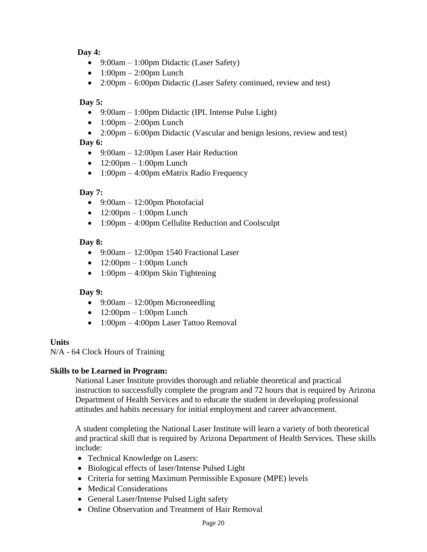#### **Day 4:**

- 9:00am 1:00pm Didactic (Laser Safety)
- $\bullet$  1:00pm 2:00pm Lunch
- 2:00pm 6:00pm Didactic (Laser Safety continued, review and test)

# **Day 5:**

- 9:00am 1:00pm Didactic (IPL Intense Pulse Light)
- $\bullet$  1:00pm 2:00pm Lunch
- 2:00pm 6:00pm Didactic (Vascular and benign lesions, review and test)

#### **Day 6:**

- 9:00am 12:00pm Laser Hair Reduction
- $12:00 \text{pm} 1:00 \text{pm}$  Lunch
- 1:00pm 4:00pm eMatrix Radio Frequency

# **Day 7:**

- 9:00am  $12:00$ pm Photofacial
- $\bullet$  12:00pm 1:00pm Lunch
- 1:00pm 4:00pm Cellulite Reduction and Coolsculpt

#### **Day 8:**

- 9:00am 12:00pm 1540 Fractional Laser
- $\bullet$  12:00pm 1:00pm Lunch
- $1:00 \text{pm} 4:00 \text{pm}$  Skin Tightening

# **Day 9:**

- 9:00am 12:00pm Microneedling
- $\bullet$  12:00pm 1:00pm Lunch
- 1:00pm 4:00pm Laser Tattoo Removal

# **Units**

N/A - 64 Clock Hours of Training

#### **Skills to be Learned in Program:**

National Laser Institute provides thorough and reliable theoretical and practical instruction to successfully complete the program and 72 hours that is required by Arizona Department of Health Services and to educate the student in developing professional attitudes and habits necessary for initial employment and career advancement.

A student completing the National Laser Institute will learn a variety of both theoretical and practical skill that is required by Arizona Department of Health Services. These skills include:

- Technical Knowledge on Lasers:
- Biological effects of laser/Intense Pulsed Light
- Criteria for setting Maximum Permissible Exposure (MPE) levels
- Medical Considerations
- General Laser/Intense Pulsed Light safety
- Online Observation and Treatment of Hair Removal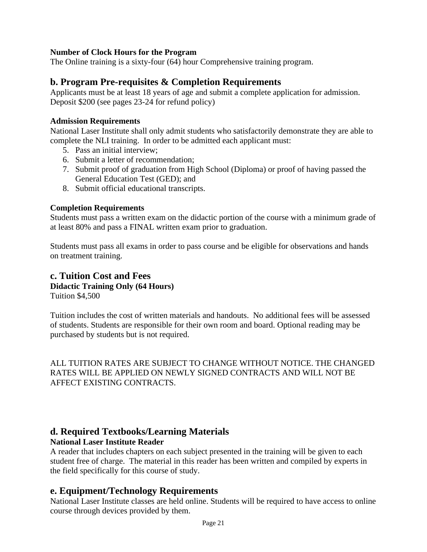#### **Number of Clock Hours for the Program**

The Online training is a sixty-four (64) hour Comprehensive training program.

# **b. Program Pre-requisites & Completion Requirements**

Applicants must be at least 18 years of age and submit a complete application for admission. Deposit \$200 (see pages 23-24 for refund policy)

#### **Admission Requirements**

National Laser Institute shall only admit students who satisfactorily demonstrate they are able to complete the NLI training. In order to be admitted each applicant must:

- 5. Pass an initial interview;
- 6. Submit a letter of recommendation;
- 7. Submit proof of graduation from High School (Diploma) or proof of having passed the General Education Test (GED); and
- 8. Submit official educational transcripts.

#### **Completion Requirements**

Students must pass a written exam on the didactic portion of the course with a minimum grade of at least 80% and pass a FINAL written exam prior to graduation.

Students must pass all exams in order to pass course and be eligible for observations and hands on treatment training.

#### **c. Tuition Cost and Fees Didactic Training Only (64 Hours)** Tuition \$4,500

Tuition includes the cost of written materials and handouts. No additional fees will be assessed of students. Students are responsible for their own room and board. Optional reading may be purchased by students but is not required.

ALL TUITION RATES ARE SUBJECT TO CHANGE WITHOUT NOTICE. THE CHANGED RATES WILL BE APPLIED ON NEWLY SIGNED CONTRACTS AND WILL NOT BE AFFECT EXISTING CONTRACTS.

# **d. Required Textbooks/Learning Materials**

#### **National Laser Institute Reader**

A reader that includes chapters on each subject presented in the training will be given to each student free of charge. The material in this reader has been written and compiled by experts in the field specifically for this course of study.

# **e. Equipment/Technology Requirements**

National Laser Institute classes are held online. Students will be required to have access to online course through devices provided by them.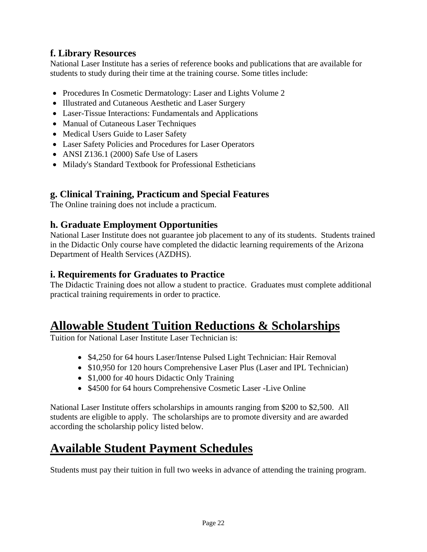# **f. Library Resources**

National Laser Institute has a series of reference books and publications that are available for students to study during their time at the training course. Some titles include:

- Procedures In Cosmetic Dermatology: Laser and Lights Volume 2
- Illustrated and Cutaneous Aesthetic and Laser Surgery
- Laser-Tissue Interactions: Fundamentals and Applications
- Manual of Cutaneous Laser Techniques
- Medical Users Guide to Laser Safety
- Laser Safety Policies and Procedures for Laser Operators
- ANSI Z136.1 (2000) Safe Use of Lasers
- Milady's Standard Textbook for Professional Estheticians

# **g. Clinical Training, Practicum and Special Features**

The Online training does not include a practicum.

# **h. Graduate Employment Opportunities**

National Laser Institute does not guarantee job placement to any of its students. Students trained in the Didactic Only course have completed the didactic learning requirements of the Arizona Department of Health Services (AZDHS).

# **i. Requirements for Graduates to Practice**

The Didactic Training does not allow a student to practice. Graduates must complete additional practical training requirements in order to practice.

# **Allowable Student Tuition Reductions & Scholarships**

Tuition for National Laser Institute Laser Technician is:

- \$4,250 for 64 hours Laser/Intense Pulsed Light Technician: Hair Removal
- \$10,950 for 120 hours Comprehensive Laser Plus (Laser and IPL Technician)
- \$1,000 for 40 hours Didactic Only Training
- \$4500 for 64 hours Comprehensive Cosmetic Laser -Live Online

National Laser Institute offers scholarships in amounts ranging from \$200 to \$2,500. All students are eligible to apply. The scholarships are to promote diversity and are awarded according the scholarship policy listed below.

# **Available Student Payment Schedules**

Students must pay their tuition in full two weeks in advance of attending the training program.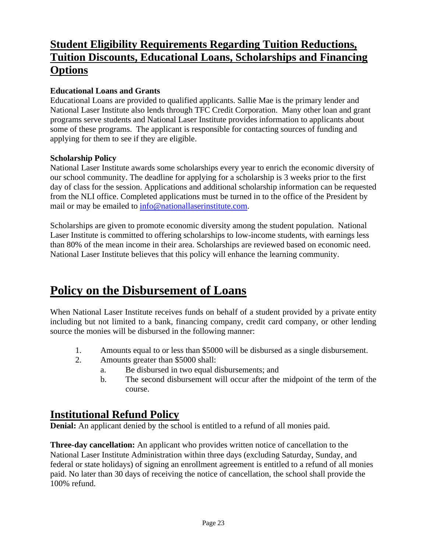# **Student Eligibility Requirements Regarding Tuition Reductions, Tuition Discounts, Educational Loans, Scholarships and Financing Options**

### **Educational Loans and Grants**

Educational Loans are provided to qualified applicants. Sallie Mae is the primary lender and National Laser Institute also lends through TFC Credit Corporation. Many other loan and grant programs serve students and National Laser Institute provides information to applicants about some of these programs. The applicant is responsible for contacting sources of funding and applying for them to see if they are eligible.

#### **Scholarship Policy**

National Laser Institute awards some scholarships every year to enrich the economic diversity of our school community. The deadline for applying for a scholarship is 3 weeks prior to the first day of class for the session. Applications and additional scholarship information can be requested from the NLI office. Completed applications must be turned in to the office of the President by mail or may be emailed to [info@nationallaserinstitute.com.](mailto:info@nationallaserinstitute.com)

Scholarships are given to promote economic diversity among the student population. National Laser Institute is committed to offering scholarships to low-income students, with earnings less than 80% of the mean income in their area. Scholarships are reviewed based on economic need. National Laser Institute believes that this policy will enhance the learning community.

# **Policy on the Disbursement of Loans**

When National Laser Institute receives funds on behalf of a student provided by a private entity including but not limited to a bank, financing company, credit card company, or other lending source the monies will be disbursed in the following manner:

- 1. Amounts equal to or less than \$5000 will be disbursed as a single disbursement.
- 2. Amounts greater than \$5000 shall:
	- a. Be disbursed in two equal disbursements; and
	- b. The second disbursement will occur after the midpoint of the term of the course.

# **Institutional Refund Policy**

**Denial:** An applicant denied by the school is entitled to a refund of all monies paid.

**Three-day cancellation:** An applicant who provides written notice of cancellation to the National Laser Institute Administration within three days (excluding Saturday, Sunday, and federal or state holidays) of signing an enrollment agreement is entitled to a refund of all monies paid. No later than 30 days of receiving the notice of cancellation, the school shall provide the 100% refund.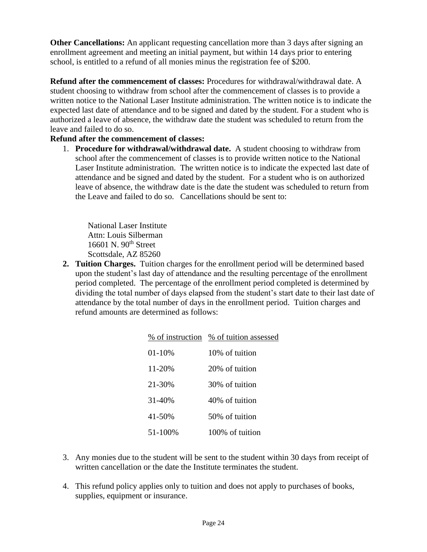**Other Cancellations:** An applicant requesting cancellation more than 3 days after signing an enrollment agreement and meeting an initial payment, but within 14 days prior to entering school, is entitled to a refund of all monies minus the registration fee of \$200.

**Refund after the commencement of classes:** Procedures for withdrawal/withdrawal date. A student choosing to withdraw from school after the commencement of classes is to provide a written notice to the National Laser Institute administration. The written notice is to indicate the expected last date of attendance and to be signed and dated by the student. For a student who is authorized a leave of absence, the withdraw date the student was scheduled to return from the leave and failed to do so.

#### **Refund after the commencement of classes:**

1. **Procedure for withdrawal/withdrawal date.** A student choosing to withdraw from school after the commencement of classes is to provide written notice to the National Laser Institute administration. The written notice is to indicate the expected last date of attendance and be signed and dated by the student. For a student who is on authorized leave of absence, the withdraw date is the date the student was scheduled to return from the Leave and failed to do so. Cancellations should be sent to:

National Laser Institute Attn: Louis Silberman 16601 N. 90<sup>th</sup> Street Scottsdale, AZ 85260

**2. Tuition Charges.** Tuition charges for the enrollment period will be determined based upon the student's last day of attendance and the resulting percentage of the enrollment period completed. The percentage of the enrollment period completed is determined by dividing the total number of days elapsed from the student's start date to their last date of attendance by the total number of days in the enrollment period. Tuition charges and refund amounts are determined as follows:

|         | % of instruction % of tuition assessed |
|---------|----------------------------------------|
| 01-10%  | 10% of tuition                         |
| 11-20%  | 20% of tuition                         |
| 21-30%  | 30% of tuition                         |
| 31-40%  | 40% of tuition                         |
| 41-50%  | 50% of tuition                         |
| 51-100% | 100% of tuition                        |

- 3. Any monies due to the student will be sent to the student within 30 days from receipt of written cancellation or the date the Institute terminates the student.
- 4. This refund policy applies only to tuition and does not apply to purchases of books, supplies, equipment or insurance.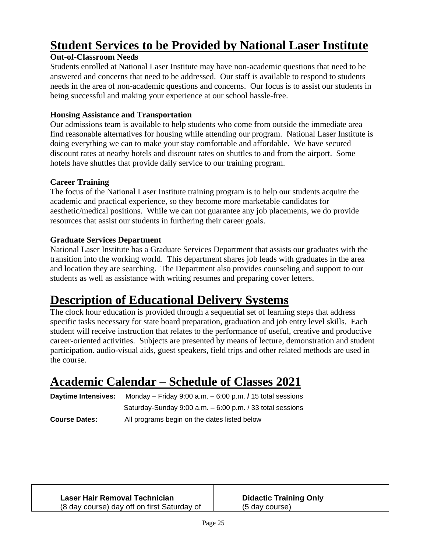# **Student Services to be Provided by National Laser Institute**

# **Out-of-Classroom Needs**

Students enrolled at National Laser Institute may have non-academic questions that need to be answered and concerns that need to be addressed. Our staff is available to respond to students needs in the area of non-academic questions and concerns. Our focus is to assist our students in being successful and making your experience at our school hassle-free.

#### **Housing Assistance and Transportation**

Our admissions team is available to help students who come from outside the immediate area find reasonable alternatives for housing while attending our program. National Laser Institute is doing everything we can to make your stay comfortable and affordable. We have secured discount rates at nearby hotels and discount rates on shuttles to and from the airport. Some hotels have shuttles that provide daily service to our training program.

#### **Career Training**

The focus of the National Laser Institute training program is to help our students acquire the academic and practical experience, so they become more marketable candidates for aesthetic/medical positions. While we can not guarantee any job placements, we do provide resources that assist our students in furthering their career goals.

#### **Graduate Services Department**

National Laser Institute has a Graduate Services Department that assists our graduates with the transition into the working world. This department shares job leads with graduates in the area and location they are searching. The Department also provides counseling and support to our students as well as assistance with writing resumes and preparing cover letters.

# **Description of Educational Delivery Systems**

The clock hour education is provided through a sequential set of learning steps that address specific tasks necessary for state board preparation, graduation and job entry level skills. Each student will receive instruction that relates to the performance of useful, creative and productive career-oriented activities. Subjects are presented by means of lecture, demonstration and student participation. audio-visual aids, guest speakers, field trips and other related methods are used in the course.

# **Academic Calendar – Schedule of Classes 2021**

| <b>Davtime Intensives:</b> | Monday – Friday 9:00 a.m. $-6:00$ p.m. $\prime$ 15 total sessions |
|----------------------------|-------------------------------------------------------------------|
|                            | Saturday-Sunday 9:00 $a.m. - 6:00$ p.m. / 33 total sessions       |
| <b>Course Dates:</b>       | All programs begin on the dates listed below                      |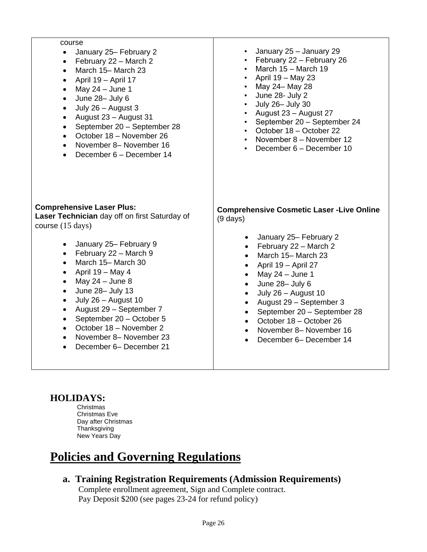| course<br>January 25- February 2<br>February 22 - March 2<br>$\bullet$<br>March 15- March 23<br>$\bullet$<br>April 19 - April 17<br>$\bullet$<br>May 24 - June 1<br>$\bullet$<br>June 28- July 6<br>$\bullet$<br>July 26 - August 3<br>$\bullet$<br>August 23 - August 31<br>$\bullet$<br>September 20 - September 28<br>$\bullet$<br>October 18 - November 26<br>$\bullet$<br>November 8- November 16<br>$\bullet$<br>December 6 - December 14<br>$\bullet$ | January 25 - January 29<br>February 22 - February 26<br>March 15 - March 19<br>April 19 - May 23<br>May 24- May 28<br>June 28- July 2<br>July 26- July 30<br>August 23 - August 27<br>September 20 - September 24<br>October 18 - October 22<br>November 8 - November 12<br>December 6 - December 10 |
|--------------------------------------------------------------------------------------------------------------------------------------------------------------------------------------------------------------------------------------------------------------------------------------------------------------------------------------------------------------------------------------------------------------------------------------------------------------|------------------------------------------------------------------------------------------------------------------------------------------------------------------------------------------------------------------------------------------------------------------------------------------------------|
| <b>Comprehensive Laser Plus:</b>                                                                                                                                                                                                                                                                                                                                                                                                                             | <b>Comprehensive Cosmetic Laser - Live Online</b>                                                                                                                                                                                                                                                    |
| Laser Technician day off on first Saturday of                                                                                                                                                                                                                                                                                                                                                                                                                | $(9 \text{ days})$                                                                                                                                                                                                                                                                                   |
| course (15 days)                                                                                                                                                                                                                                                                                                                                                                                                                                             | January 25- February 2                                                                                                                                                                                                                                                                               |
| January 25- February 9                                                                                                                                                                                                                                                                                                                                                                                                                                       | $\bullet$                                                                                                                                                                                                                                                                                            |
| $\bullet$                                                                                                                                                                                                                                                                                                                                                                                                                                                    | February 22 - March 2                                                                                                                                                                                                                                                                                |
| February 22 - March 9                                                                                                                                                                                                                                                                                                                                                                                                                                        | $\bullet$                                                                                                                                                                                                                                                                                            |
| $\bullet$                                                                                                                                                                                                                                                                                                                                                                                                                                                    | March 15-March 23                                                                                                                                                                                                                                                                                    |
| March 15- March 30                                                                                                                                                                                                                                                                                                                                                                                                                                           | $\bullet$                                                                                                                                                                                                                                                                                            |
| $\bullet$                                                                                                                                                                                                                                                                                                                                                                                                                                                    | April 19 - April 27                                                                                                                                                                                                                                                                                  |
| April 19 - May 4                                                                                                                                                                                                                                                                                                                                                                                                                                             | $\bullet$                                                                                                                                                                                                                                                                                            |
| $\bullet$                                                                                                                                                                                                                                                                                                                                                                                                                                                    | May 24 - June 1                                                                                                                                                                                                                                                                                      |
| May $24 -$ June 8                                                                                                                                                                                                                                                                                                                                                                                                                                            | $\bullet$                                                                                                                                                                                                                                                                                            |
| $\bullet$                                                                                                                                                                                                                                                                                                                                                                                                                                                    | June 28- July 6                                                                                                                                                                                                                                                                                      |
| June 28- July 13                                                                                                                                                                                                                                                                                                                                                                                                                                             | $\bullet$                                                                                                                                                                                                                                                                                            |
| $\bullet$                                                                                                                                                                                                                                                                                                                                                                                                                                                    | July 26 - August 10                                                                                                                                                                                                                                                                                  |
| July 26 - August 10                                                                                                                                                                                                                                                                                                                                                                                                                                          | $\bullet$                                                                                                                                                                                                                                                                                            |
| $\bullet$                                                                                                                                                                                                                                                                                                                                                                                                                                                    | August 29 - September 3                                                                                                                                                                                                                                                                              |
| August 29 - September 7                                                                                                                                                                                                                                                                                                                                                                                                                                      | $\bullet$                                                                                                                                                                                                                                                                                            |
| $\bullet$                                                                                                                                                                                                                                                                                                                                                                                                                                                    | September 20 - September 28                                                                                                                                                                                                                                                                          |
| September 20 - October 5                                                                                                                                                                                                                                                                                                                                                                                                                                     | $\bullet$                                                                                                                                                                                                                                                                                            |
| $\bullet$                                                                                                                                                                                                                                                                                                                                                                                                                                                    | October 18 - October 26                                                                                                                                                                                                                                                                              |
| October 18 - November 2                                                                                                                                                                                                                                                                                                                                                                                                                                      | $\bullet$                                                                                                                                                                                                                                                                                            |
| $\bullet$                                                                                                                                                                                                                                                                                                                                                                                                                                                    | November 8- November 16                                                                                                                                                                                                                                                                              |
| November 8- November 23                                                                                                                                                                                                                                                                                                                                                                                                                                      | $\bullet$                                                                                                                                                                                                                                                                                            |
| $\bullet$                                                                                                                                                                                                                                                                                                                                                                                                                                                    | December 6- December 14                                                                                                                                                                                                                                                                              |
| December 6- December 21                                                                                                                                                                                                                                                                                                                                                                                                                                      | $\bullet$                                                                                                                                                                                                                                                                                            |

# **HOLIDAYS:**

Christmas Christmas Eve Day after Christmas **Thanksgiving** New Years Day

# **Policies and Governing Regulations**

**a. Training Registration Requirements (Admission Requirements)**

Complete enrollment agreement, Sign and Complete contract. Pay Deposit \$200 (see pages 23-24 for refund policy)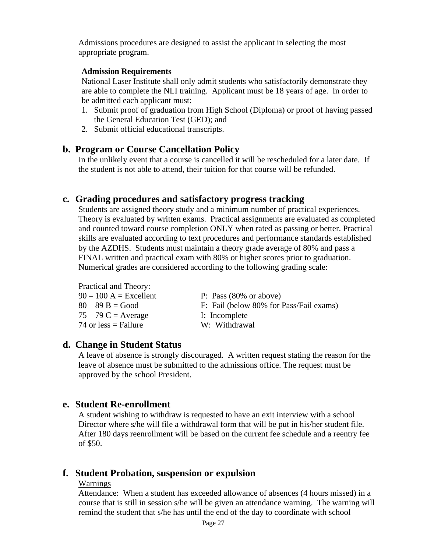Admissions procedures are designed to assist the applicant in selecting the most appropriate program.

#### **Admission Requirements**

National Laser Institute shall only admit students who satisfactorily demonstrate they are able to complete the NLI training. Applicant must be 18 years of age. In order to be admitted each applicant must:

- 1. Submit proof of graduation from High School (Diploma) or proof of having passed the General Education Test (GED); and
- 2. Submit official educational transcripts.

#### **b. Program or Course Cancellation Policy**

In the unlikely event that a course is cancelled it will be rescheduled for a later date. If the student is not able to attend, their tuition for that course will be refunded.

#### **c. Grading procedures and satisfactory progress tracking**

Students are assigned theory study and a minimum number of practical experiences. Theory is evaluated by written exams. Practical assignments are evaluated as completed and counted toward course completion ONLY when rated as passing or better. Practical skills are evaluated according to text procedures and performance standards established by the AZDHS. Students must maintain a theory grade average of 80% and pass a FINAL written and practical exam with 80% or higher scores prior to graduation. Numerical grades are considered according to the following grading scale:

| P: Pass $(80\% \text{ or above})$       |
|-----------------------------------------|
| F: Fail (below 80% for Pass/Fail exams) |
| I: Incomplete                           |
| W: Withdrawal                           |
|                                         |

#### **d. Change in Student Status**

A leave of absence is strongly discouraged. A written request stating the reason for the leave of absence must be submitted to the admissions office. The request must be approved by the school President.

#### **e. Student Re-enrollment**

A student wishing to withdraw is requested to have an exit interview with a school Director where s/he will file a withdrawal form that will be put in his/her student file. After 180 days reenrollment will be based on the current fee schedule and a reentry fee of \$50.

#### **f. Student Probation, suspension or expulsion**

#### Warnings

Attendance: When a student has exceeded allowance of absences (4 hours missed) in a course that is still in session s/he will be given an attendance warning. The warning will remind the student that s/he has until the end of the day to coordinate with school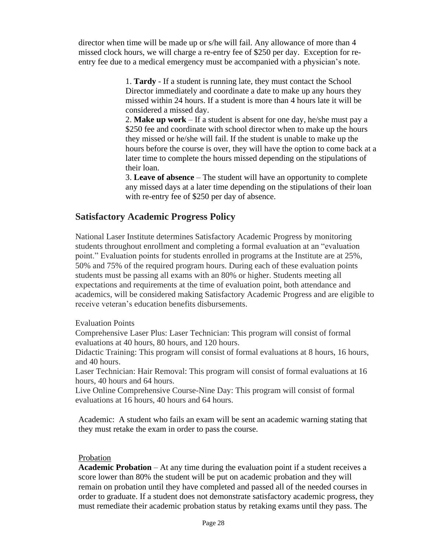director when time will be made up or s/he will fail. Any allowance of more than 4 missed clock hours, we will charge a re-entry fee of \$250 per day. Exception for reentry fee due to a medical emergency must be accompanied with a physician's note.

> 1. **Tardy** - If a student is running late, they must contact the School Director immediately and coordinate a date to make up any hours they missed within 24 hours. If a student is more than 4 hours late it will be considered a missed day.

2. **Make up work** – If a student is absent for one day, he/she must pay a \$250 fee and coordinate with school director when to make up the hours they missed or he/she will fail. If the student is unable to make up the hours before the course is over, they will have the option to come back at a later time to complete the hours missed depending on the stipulations of their loan.

3. **Leave of absence** – The student will have an opportunity to complete any missed days at a later time depending on the stipulations of their loan with re-entry fee of \$250 per day of absence.

# **Satisfactory Academic Progress Policy**

National Laser Institute determines Satisfactory Academic Progress by monitoring students throughout enrollment and completing a formal evaluation at an "evaluation point." Evaluation points for students enrolled in programs at the Institute are at 25%, 50% and 75% of the required program hours. During each of these evaluation points students must be passing all exams with an 80% or higher. Students meeting all expectations and requirements at the time of evaluation point, both attendance and academics, will be considered making Satisfactory Academic Progress and are eligible to receive veteran's education benefits disbursements.

#### Evaluation Points

Comprehensive Laser Plus: Laser Technician: This program will consist of formal evaluations at 40 hours, 80 hours, and 120 hours.

Didactic Training: This program will consist of formal evaluations at 8 hours, 16 hours, and 40 hours.

Laser Technician: Hair Removal: This program will consist of formal evaluations at 16 hours, 40 hours and 64 hours.

Live Online Comprehensive Course-Nine Day: This program will consist of formal evaluations at 16 hours, 40 hours and 64 hours.

Academic: A student who fails an exam will be sent an academic warning stating that they must retake the exam in order to pass the course.

#### Probation

**Academic Probation** – At any time during the evaluation point if a student receives a score lower than 80% the student will be put on academic probation and they will remain on probation until they have completed and passed all of the needed courses in order to graduate. If a student does not demonstrate satisfactory academic progress, they must remediate their academic probation status by retaking exams until they pass. The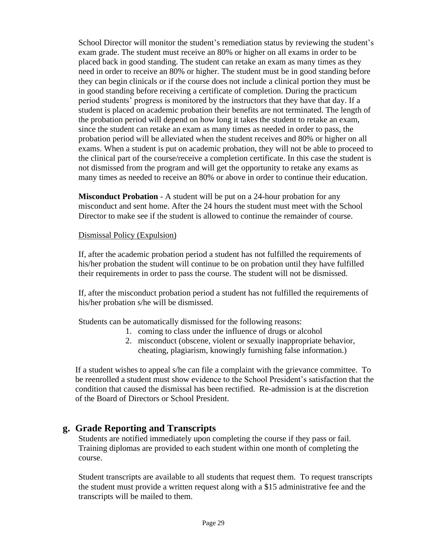School Director will monitor the student's remediation status by reviewing the student's exam grade. The student must receive an 80% or higher on all exams in order to be placed back in good standing. The student can retake an exam as many times as they need in order to receive an 80% or higher. The student must be in good standing before they can begin clinicals or if the course does not include a clinical portion they must be in good standing before receiving a certificate of completion. During the practicum period students' progress is monitored by the instructors that they have that day. If a student is placed on academic probation their benefits are not terminated. The length of the probation period will depend on how long it takes the student to retake an exam, since the student can retake an exam as many times as needed in order to pass, the probation period will be alleviated when the student receives and 80% or higher on all exams. When a student is put on academic probation, they will not be able to proceed to the clinical part of the course/receive a completion certificate. In this case the student is not dismissed from the program and will get the opportunity to retake any exams as many times as needed to receive an 80% or above in order to continue their education.

**Misconduct Probation** - A student will be put on a 24-hour probation for any misconduct and sent home. After the 24 hours the student must meet with the School Director to make see if the student is allowed to continue the remainder of course.

#### Dismissal Policy (Expulsion)

If, after the academic probation period a student has not fulfilled the requirements of his/her probation the student will continue to be on probation until they have fulfilled their requirements in order to pass the course. The student will not be dismissed.

If, after the misconduct probation period a student has not fulfilled the requirements of his/her probation s/he will be dismissed.

Students can be automatically dismissed for the following reasons:

- 1. coming to class under the influence of drugs or alcohol
- 2. misconduct (obscene, violent or sexually inappropriate behavior, cheating, plagiarism, knowingly furnishing false information.)

If a student wishes to appeal s/he can file a complaint with the grievance committee. To be reenrolled a student must show evidence to the School President's satisfaction that the condition that caused the dismissal has been rectified. Re-admission is at the discretion of the Board of Directors or School President.

# **g. Grade Reporting and Transcripts**

Students are notified immediately upon completing the course if they pass or fail. Training diplomas are provided to each student within one month of completing the course.

Student transcripts are available to all students that request them. To request transcripts the student must provide a written request along with a \$15 administrative fee and the transcripts will be mailed to them.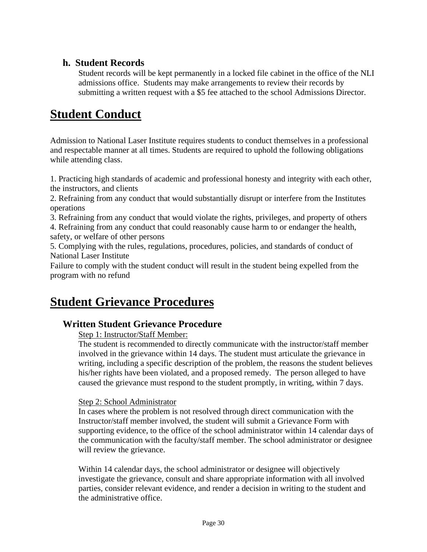# **h. Student Records**

Student records will be kept permanently in a locked file cabinet in the office of the NLI admissions office. Students may make arrangements to review their records by submitting a written request with a \$5 fee attached to the school Admissions Director.

# **Student Conduct**

Admission to National Laser Institute requires students to conduct themselves in a professional and respectable manner at all times. Students are required to uphold the following obligations while attending class.

1. Practicing high standards of academic and professional honesty and integrity with each other, the instructors, and clients

2. Refraining from any conduct that would substantially disrupt or interfere from the Institutes operations

3. Refraining from any conduct that would violate the rights, privileges, and property of others

4. Refraining from any conduct that could reasonably cause harm to or endanger the health, safety, or welfare of other persons

5. Complying with the rules, regulations, procedures, policies, and standards of conduct of National Laser Institute

Failure to comply with the student conduct will result in the student being expelled from the program with no refund

# **Student Grievance Procedures**

# **Written Student Grievance Procedure**

Step 1: Instructor/Staff Member:

The student is recommended to directly communicate with the instructor/staff member involved in the grievance within 14 days. The student must articulate the grievance in writing, including a specific description of the problem, the reasons the student believes his/her rights have been violated, and a proposed remedy. The person alleged to have caused the grievance must respond to the student promptly, in writing, within 7 days.

#### Step 2: School Administrator

In cases where the problem is not resolved through direct communication with the Instructor/staff member involved, the student will submit a Grievance Form with supporting evidence, to the office of the school administrator within 14 calendar days of the communication with the faculty/staff member. The school administrator or designee will review the grievance.

Within 14 calendar days, the school administrator or designee will objectively investigate the grievance, consult and share appropriate information with all involved parties, consider relevant evidence, and render a decision in writing to the student and the administrative office.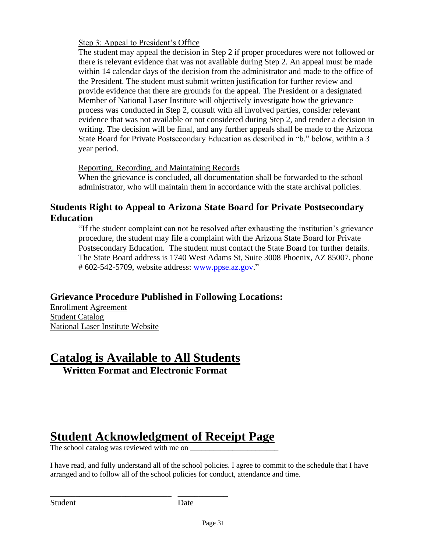Step 3: Appeal to President's Office

The student may appeal the decision in Step 2 if proper procedures were not followed or there is relevant evidence that was not available during Step 2. An appeal must be made within 14 calendar days of the decision from the administrator and made to the office of the President. The student must submit written justification for further review and provide evidence that there are grounds for the appeal. The President or a designated Member of National Laser Institute will objectively investigate how the grievance process was conducted in Step 2, consult with all involved parties, consider relevant evidence that was not available or not considered during Step 2, and render a decision in writing. The decision will be final, and any further appeals shall be made to the Arizona State Board for Private Postsecondary Education as described in "b." below, within a 3 year period.

#### Reporting, Recording, and Maintaining Records

When the grievance is concluded, all documentation shall be forwarded to the school administrator, who will maintain them in accordance with the state archival policies.

# **Students Right to Appeal to Arizona State Board for Private Postsecondary Education**

"If the student complaint can not be resolved after exhausting the institution's grievance procedure, the student may file a complaint with the Arizona State Board for Private Postsecondary Education. The student must contact the State Board for further details. The State Board address is 1740 West Adams St, Suite 3008 Phoenix, AZ 85007, phone # 602-542-5709, website address: [www.ppse.az.gov.](http://www.ppse.az.gov/)"

# **Grievance Procedure Published in Following Locations:**

Enrollment Agreement Student Catalog National Laser Institute Website

# **Catalog is Available to All Students Written Format and Electronic Format**

# **Student Acknowledgment of Receipt Page**

The school catalog was reviewed with me on

\_\_\_\_\_\_\_\_\_\_\_\_\_\_\_\_\_\_\_\_\_\_\_\_\_\_\_\_\_ \_\_\_\_\_\_\_\_\_\_\_\_

I have read, and fully understand all of the school policies. I agree to commit to the schedule that I have arranged and to follow all of the school policies for conduct, attendance and time.